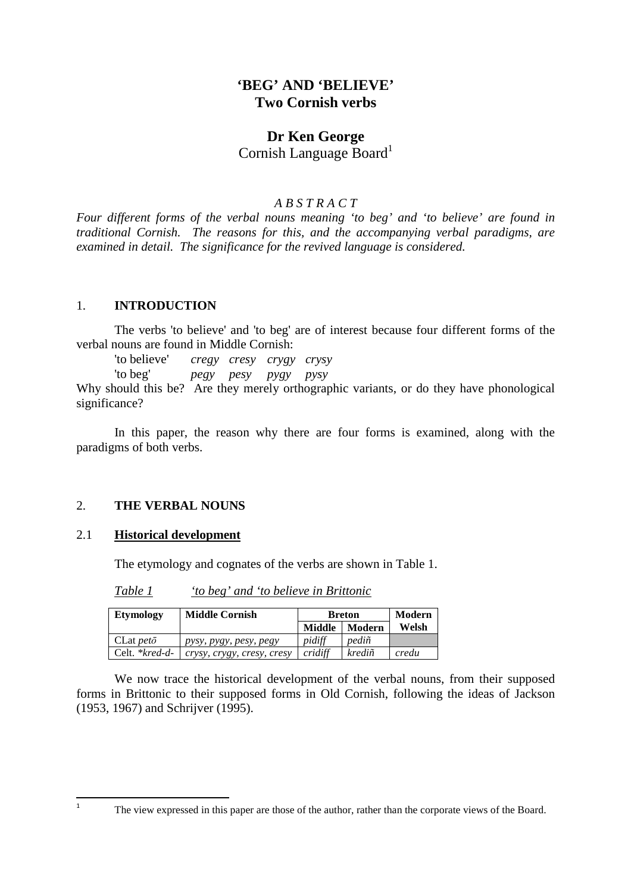## **'BEG' AND 'BELIEVE' Two Cornish verbs**

# **Dr Ken George**

Cornish Language Board<sup>1</sup>

#### *A B S T R A C T*

*Four different forms of the verbal nouns meaning 'to beg' and 'to believe' are found in traditional Cornish. The reasons for this, and the accompanying verbal paradigms, are examined in detail. The significance for the revived language is considered.* 

## 1. **INTRODUCTION**

The verbs 'to believe' and 'to beg' are of interest because four different forms of the verbal nouns are found in Middle Cornish:

'to believe' *cregy cresy crygy crysy* 

'to beg' *pegy pesy pygy pysy* 

Why should this be? Are they merely orthographic variants, or do they have phonological significance?

In this paper, the reason why there are four forms is examined, along with the paradigms of both verbs.

## 2. **THE VERBAL NOUNS**

#### 2.1 **Historical development**

The etymology and cognates of the verbs are shown in Table 1.

*Table 1 'to beg' and 'to believe in Brittonic* 

| <b>Etymology</b>  | <b>Middle Cornish</b>      | <b>Breton</b> | Modern |       |
|-------------------|----------------------------|---------------|--------|-------|
|                   |                            | Middle        | Modern | Welsh |
| $CLat pet\bar{o}$ | pysy, pygy, pesy, pegy     | pidiff        | pediñ  |       |
| Celt. *kred-d-    | crysy, crygy, cresy, cresy | cridiff       | krediñ | credu |

We now trace the historical development of the verbal nouns, from their supposed forms in Brittonic to their supposed forms in Old Cornish, following the ideas of Jackson (1953, 1967) and Schrijver (1995).

 $\overline{a}$ 1

The view expressed in this paper are those of the author, rather than the corporate views of the Board.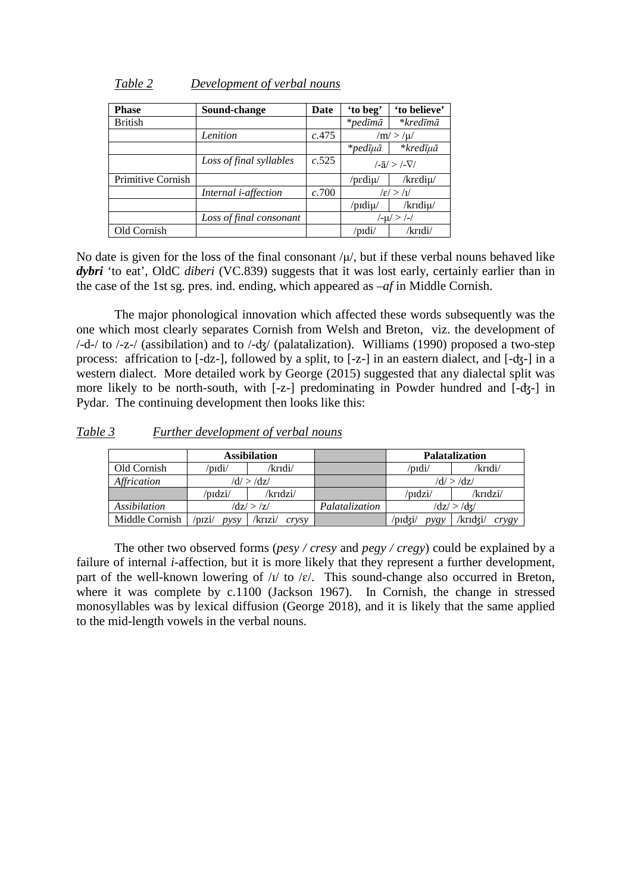| <b>Phase</b>      | Sound-change                 | Date  | 'to beg'   | 'to believe'                  |
|-------------------|------------------------------|-------|------------|-------------------------------|
| <b>British</b>    |                              |       | $*$ pedīmā | *kredīmā                      |
|                   | Lenition                     | c.475 |            | $/m$ $>$ / $\mu$ /            |
|                   |                              |       | $*$ pedīµā | *kredīuā                      |
|                   | Loss of final syllables      | c.525 |            | $\sqrt{-a}$ / > $\sqrt{-V}$ / |
| Primitive Cornish |                              |       | /pediµ/    | /krediu/                      |
|                   | Internal <i>i</i> -affection | c.700 |            | $ \epsilon  >  I $            |
|                   |                              |       | /pidiµ/    | /kridiµ/                      |
|                   | Loss of final consonant      |       | /-µ/>/-/   |                               |
| Old Cornish       |                              |       | /pɪdi/     | /krɪdi/                       |

#### *Table 2 Development of verbal nouns*

No date is given for the loss of the final consonant  $/\mu$ , but if these verbal nouns behaved like *dybri* 'to eat', OldC *diberi* (VC.839) suggests that it was lost early, certainly earlier than in the case of the 1st sg. pres. ind. ending, which appeared as –*af* in Middle Cornish.

 The major phonological innovation which affected these words subsequently was the one which most clearly separates Cornish from Welsh and Breton, viz. the development of /-d-/ to /-z-/ (assibilation) and to /-ʤ/ (palatalization). Williams (1990) proposed a two-step process: affrication to [-dz-], followed by a split, to [-z-] in an eastern dialect, and [-ʤ-] in a western dialect. More detailed work by George (2015) suggested that any dialectal split was more likely to be north-south, with [-z-] predominating in Powder hundred and [-ʤ-] in Pydar. The continuing development then looks like this:

*Table 3 Further development of verbal nouns*

|                |                | <b>Assibilation</b>           |                |                             | <b>Palatalization</b> |  |
|----------------|----------------|-------------------------------|----------------|-----------------------------|-----------------------|--|
| Old Cornish    | /pɪdi/         | /krɪdi/                       |                | /pɪdi/                      | /krıdi/               |  |
| Affrication    |                | $\mathrm{d}t$ > $\mathrm{d}z$ |                | $\rm{d}/\rm{d}$ > $\rm{d}z$ |                       |  |
|                | 'pıdzi/        | /krɪdzi/                      |                | /pɪdzi/                     | /krɪdzi/              |  |
| Assibilation   | $dz/$ > /z/    |                               | Palatalization | $\rm{d}z/\rm{d}x/$          |                       |  |
| Middle Cornish | 'pizi/<br>DVSV | /krizi/<br>crysy              |                | 'nıdzi/<br>nvev             | /krīdzi/<br>crygy     |  |

 The other two observed forms (*pesy / cresy* and *pegy / cregy*) could be explained by a failure of internal *i*-affection, but it is more likely that they represent a further development, part of the well-known lowering of  $\Delta t$  to  $\epsilon$ . This sound-change also occurred in Breton, where it was complete by c.1100 (Jackson 1967). In Cornish, the change in stressed monosyllables was by lexical diffusion (George 2018), and it is likely that the same applied to the mid-length vowels in the verbal nouns.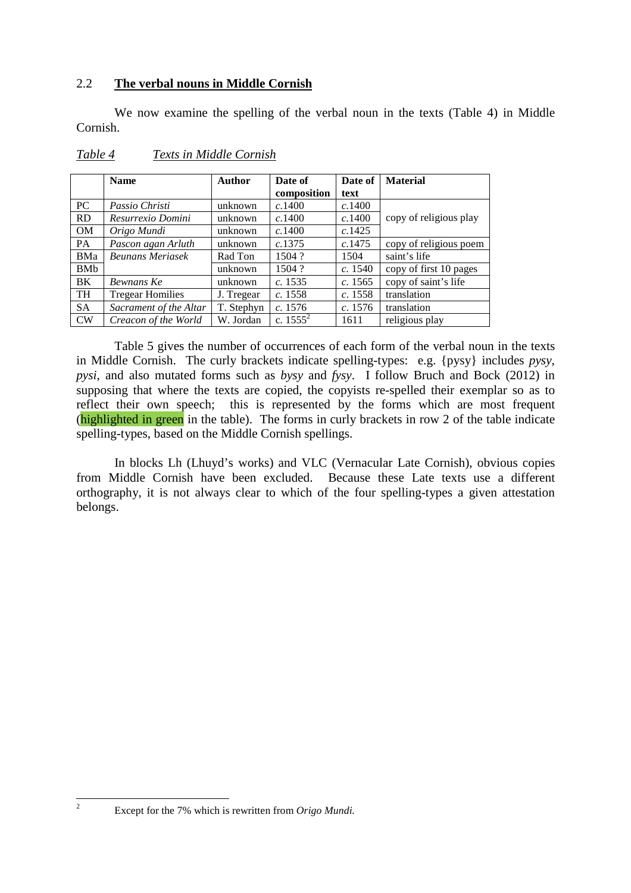## 2.2 **The verbal nouns in Middle Cornish**

We now examine the spelling of the verbal noun in the texts (Table 4) in Middle Cornish.

|            | <b>Name</b>             | <b>Author</b> | Date of     | Date of | <b>Material</b>        |
|------------|-------------------------|---------------|-------------|---------|------------------------|
|            |                         |               | composition | text    |                        |
| PC         | Passio Christi          | unknown       | c.1400      | c.1400  |                        |
| RD         | Resurrexio Domini       | unknown       | c.1400      | c.1400  | copy of religious play |
| <b>OM</b>  | Origo Mundi             | unknown       | c.1400      | c.1425  |                        |
| PA         | Pascon agan Arluth      | unknown       | c.1375      | c.1475  | copy of religious poem |
| BMa        | <b>Beunans Meriasek</b> | Rad Ton       | 1504?       | 1504    | saint's life           |
| <b>BMb</b> |                         | unknown       | 1504?       | c. 1540 | copy of first 10 pages |
| BK.        | Bewnans Ke              | unknown       | c. 1535     | c. 1565 | copy of saint's life   |
| <b>TH</b>  | <b>Tregear Homilies</b> | J. Tregear    | c. 1558     | c. 1558 | translation            |
| <b>SA</b>  | Sacrament of the Altar  | T. Stephyn    | c. 1576     | c. 1576 | translation            |
| <b>CW</b>  | Creacon of the World    | W. Jordan     | c. $1555^2$ | 1611    | religious play         |

#### *Table 4 Texts in Middle Cornish*

Table 5 gives the number of occurrences of each form of the verbal noun in the texts in Middle Cornish. The curly brackets indicate spelling-types: e.g. {pysy} includes *pysy*, *pysi*, and also mutated forms such as *bysy* and *fysy*. I follow Bruch and Bock (2012) in supposing that where the texts are copied, the copyists re-spelled their exemplar so as to reflect their own speech; this is represented by the forms which are most frequent (highlighted in green in the table). The forms in curly brackets in row 2 of the table indicate spelling-types, based on the Middle Cornish spellings.

 In blocks Lh (Lhuyd's works) and VLC (Vernacular Late Cornish), obvious copies from Middle Cornish have been excluded. Because these Late texts use a different orthography, it is not always clear to which of the four spelling-types a given attestation belongs.

Except for the 7% which is rewritten from *Origo Mundi.*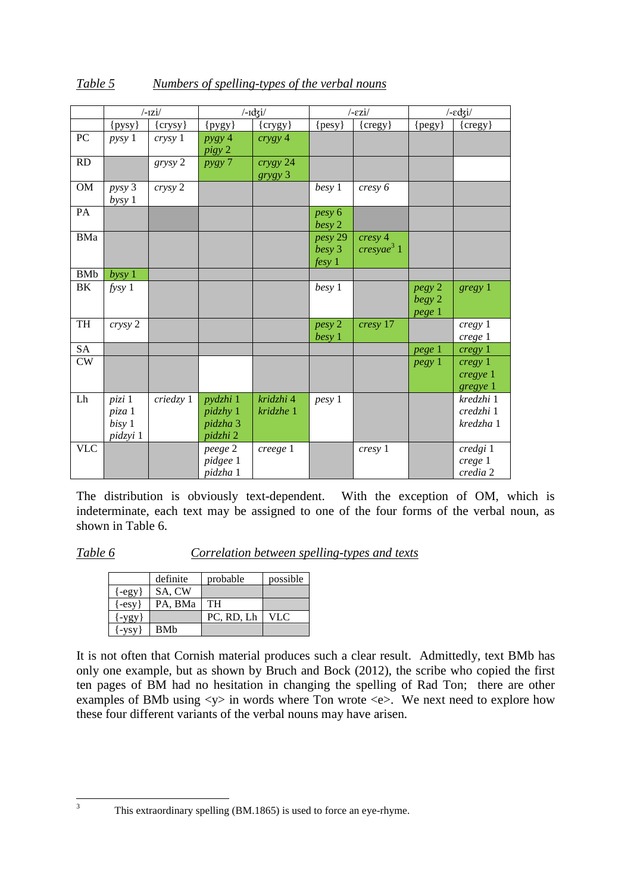|             |            | $/$ -IZ $i/$ |            | $/$ - $\frac{1}{3}i$ |            | $/$ - $ezi/$     |                   | $/$ - $\epsilon$ dzi/ |
|-------------|------------|--------------|------------|----------------------|------------|------------------|-------------------|-----------------------|
|             | $\{pysy\}$ | {crysy}      | $\{pysy\}$ | $\{crygy\}$          | $\{pesy\}$ | $\{cregy\}$      | $\{pegy\}$        | {cregy}               |
| PC          | pysy 1     | crysy 1      | pysy 4     | crygy 4              |            |                  |                   |                       |
|             |            |              | pigy 2     |                      |            |                  |                   |                       |
| RD          |            | grysy 2      | pysy 7     | crygy 24             |            |                  |                   |                       |
|             |            |              |            | grygy 3              |            |                  |                   |                       |
| $_{\rm OM}$ | pysy 3     | crysy 2      |            |                      | besy 1     | cresy 6          |                   |                       |
|             | bysy 1     |              |            |                      |            |                  |                   |                       |
| PA          |            |              |            |                      | pesy 6     |                  |                   |                       |
|             |            |              |            |                      | besy 2     |                  |                   |                       |
| BMa         |            |              |            |                      | pesy 29    | cresy 4          |                   |                       |
|             |            |              |            |                      | besy 3     | $c$ resyae $3$ 1 |                   |                       |
|             |            |              |            |                      | fesy 1     |                  |                   |                       |
| <b>BMb</b>  | bysy 1     |              |            |                      |            |                  |                   |                       |
| BK          | fysy1      |              |            |                      | besy 1     |                  | pegy 2            | gregy 1               |
|             |            |              |            |                      |            |                  | begy 2            |                       |
|             |            |              |            |                      |            |                  | pege 1            |                       |
| <b>TH</b>   | crysy 2    |              |            |                      | pesy 2     | cresy 17         |                   | cregy 1               |
|             |            |              |            |                      | besy 1     |                  |                   | crege 1               |
| <b>SA</b>   |            |              |            |                      |            |                  | pege <sup>1</sup> | cregy 1               |
| CW          |            |              |            |                      |            |                  | <i>pegy</i> 1     | cregy 1               |
|             |            |              |            |                      |            |                  |                   | cregye 1              |
|             |            |              |            |                      |            |                  |                   | gregye 1              |
| Lh          | pizi 1     | criedzy 1    | pydzhi 1   | kridzhi 4            | pesy 1     |                  |                   | kredzhi 1             |
|             | piza 1     |              | pidzhy 1   | kridzhe 1            |            |                  |                   | credzhi 1             |
|             | bisy 1     |              | pidzha 3   |                      |            |                  |                   | kredzha 1             |
|             | pidzyi 1   |              | pidzhi 2   |                      |            |                  |                   |                       |
| <b>VLC</b>  |            |              | peege 2    | creege 1             |            | cresy 1          |                   | credgi 1              |
|             |            |              | pidgee 1   |                      |            |                  |                   | crege 1               |
|             |            |              | pidzha 1   |                      |            |                  |                   | credia 2              |

The distribution is obviously text-dependent. With the exception of OM, which is indeterminate, each text may be assigned to one of the four forms of the verbal noun, as shown in Table 6.

*Table 6 Correlation between spelling-types and texts* 

|                        | definite   | probable   | possible |
|------------------------|------------|------------|----------|
| $\{-egy\}$             | SA, CW     |            |          |
| $\{-esv\}$             | PA. BMa    | TH         |          |
| $\{-ygy\}$             |            | PC, RD, Lh | VLC.     |
| $\left\{ -vsv\right\}$ | <b>BMb</b> |            |          |

It is not often that Cornish material produces such a clear result. Admittedly, text BMb has only one example, but as shown by Bruch and Bock (2012), the scribe who copied the first ten pages of BM had no hesitation in changing the spelling of Rad Ton; there are other examples of BMb using  $\langle y \rangle$  in words where Ton wrote  $\langle e \rangle$ . We next need to explore how these four different variants of the verbal nouns may have arisen.

This extraordinary spelling (BM.1865) is used to force an eye-rhyme.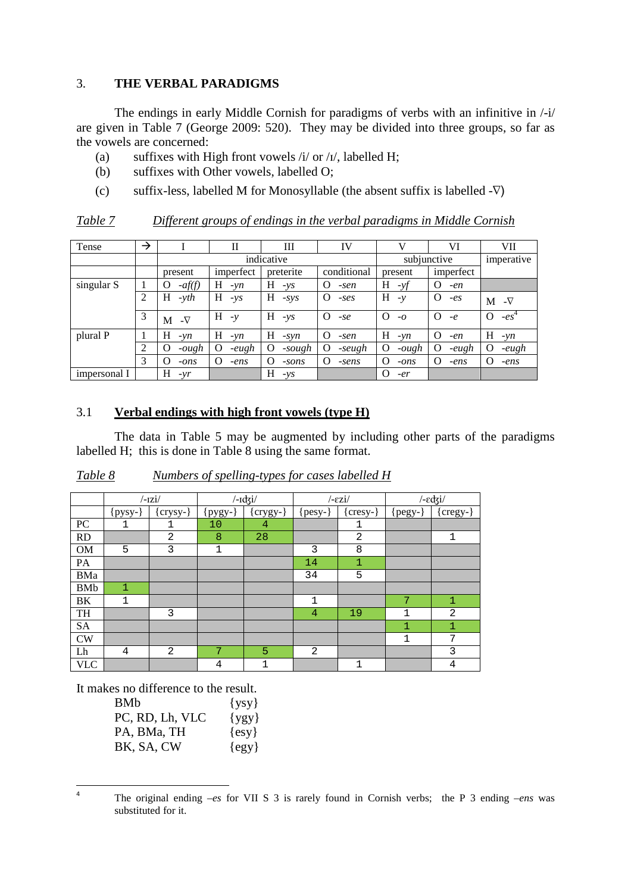## 3. **THE VERBAL PARADIGMS**

 The endings in early Middle Cornish for paradigms of verbs with an infinitive in /-i/ are given in Table 7 (George 2009: 520). They may be divided into three groups, so far as the vowels are concerned:

- (a) suffixes with High front vowels  $\frac{i}{\sqrt{2}}$  or  $\frac{i}{\sqrt{2}}$ , labelled H;
- (b) suffixes with Other vowels, labelled O;
- (c) suffix-less, labelled M for Monosyllable (the absent suffix is labelled -∇)

| Table 7 |  | Different groups of endings in the verbal paradigms in Middle Cornish |  |  |
|---------|--|-----------------------------------------------------------------------|--|--|
|         |  |                                                                       |  |  |

| Tense        | → |                     | $_{\rm II}$       | Ш             | IV                 | V                 | VI                 | VII                |
|--------------|---|---------------------|-------------------|---------------|--------------------|-------------------|--------------------|--------------------|
|              |   |                     |                   | indicative    |                    |                   | subjunctive        | imperative         |
|              |   | present             | imperfect         | preterite     | conditional        | present           | imperfect          |                    |
| singular S   |   | $-af(f)$<br>0       | Η<br>$-vn$        | H<br>$-\nu s$ | O<br>-sen          | Н<br>$-yf$        | O<br>$-en$         |                    |
|              | 2 | Н<br>$-yth$         | Н<br>$-ys$        | Н<br>$-SVS$   | $\Omega$<br>$-ses$ | H<br>$-\nu$       | O<br>$-es$         | $M \sim \nabla$    |
|              | 3 | $-\nabla$<br>М      | H<br>$-\nu$       | H<br>$-YS$    | $\Omega$<br>$-se$  | $\Omega$<br>$-0$  | $\Omega$<br>$-e$   | O<br>$-es^+$       |
| plural P     |   | Н<br>$-wn$          | H<br>$-vn$        | H<br>$-svn$   | O<br>-sen          | H<br>$-\nu n$     | $\Omega$<br>$-en$  | H<br>$-\nu n$      |
|              | 2 | $-\omega gh$<br>( ) | -eugh<br>$\Omega$ | O<br>-sough   | -seugh             | -ough<br>$\left($ | -eugh<br>$\lambda$ | -eugh<br>$\lambda$ |
|              | 3 | 0<br>$-ons$         | O<br>$-ens$       | O<br>$-sons$  | O<br>-sens         | O<br>$-ons$       | $\Omega$<br>$-ens$ | O<br>$-ens$        |
| impersonal I |   | Н<br>$-vr$          |                   | Н<br>$-ys$    |                    | O<br>$-er$        |                    |                    |

## 3.1 **Verbal endings with high front vowels (type H)**

The data in Table 5 may be augmented by including other parts of the paradigms labelled H; this is done in Table 8 using the same format.

|            |              | $/$ -1Zi $/$   |                  | $/$ - $\frac{1}{3}i/$ |                | $/$ - $ezi/$   |             | $/$ - $\epsilon$ dzi/ |
|------------|--------------|----------------|------------------|-----------------------|----------------|----------------|-------------|-----------------------|
|            | {pysy-       | $\{crysy\}$    | <u>  pygy- }</u> | $\{crygy-\}$          | $\{pesy-\}$    | [cresy-}       | $\{pegy-\}$ | [cregy-}              |
| PC         | 1            | 1              | 10               | $\overline{4}$        |                | 1              |             |                       |
| RD         |              | $\overline{2}$ | 8                | 28                    |                | $\overline{2}$ |             | $\mathbf 1$           |
| OM         | 5            | 3              | $\mathbf 1$      |                       | 3              | 8              |             |                       |
| PA         |              |                |                  |                       | 14             | 1              |             |                       |
| BMa        |              |                |                  |                       | 34             | 5              |             |                       |
| <b>BMb</b> | $\mathbf{1}$ |                |                  |                       |                |                |             |                       |
| BK         | 1            |                |                  |                       | 1              |                | 7           | 1                     |
| TH         |              | 3              |                  |                       | $\overline{4}$ | 19             | 1           | 2                     |
| <b>SA</b>  |              |                |                  |                       |                |                | 1           | 1                     |
| <b>CW</b>  |              |                |                  |                       |                |                | 1           | 7                     |
| Lh         | 4            | 2              | 7                | $\overline{5}$        | $\overline{2}$ |                |             | 3                     |
| <b>VLC</b> |              |                | 4                | 1                     |                | 1              |             | 4                     |

*Table 8 Numbers of spelling-types for cases labelled H* 

It makes no difference to the result.

l

| BMb             | $\{ysy\}$ |
|-----------------|-----------|
| PC, RD, Lh, VLC | $\{ygy\}$ |
| PA, BMa, TH     | $\{esy\}$ |
| BK, SA, CW      | $\{egy\}$ |

<sup>4</sup> The original ending *–es* for VII S 3 is rarely found in Cornish verbs; the P 3 ending *–ens* was substituted for it.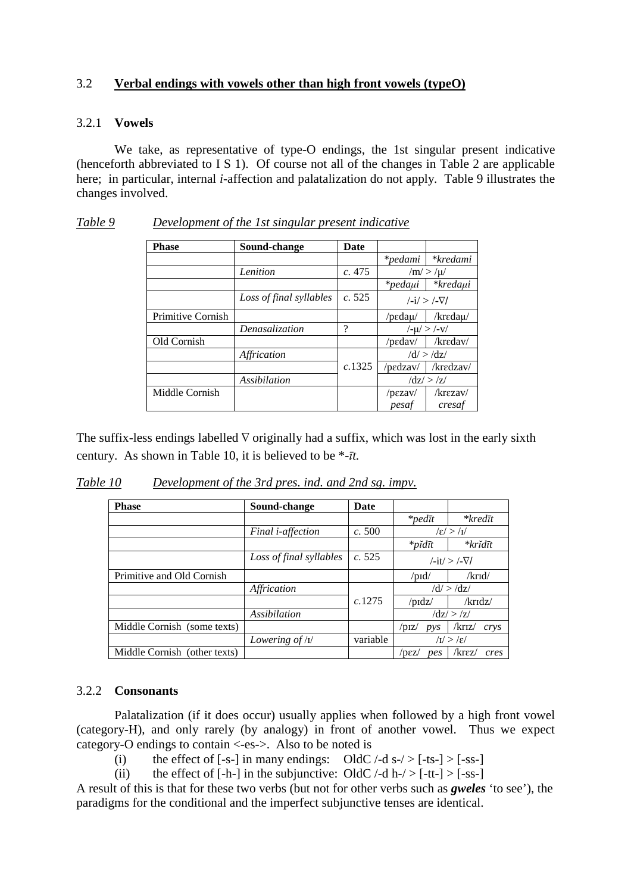## 3.2 **Verbal endings with vowels other than high front vowels (typeO)**

#### 3.2.1 **Vowels**

 We take, as representative of type-O endings, the 1st singular present indicative (henceforth abbreviated to I S 1). Of course not all of the changes in Table 2 are applicable here; in particular, internal *i*-affection and palatalization do not apply. Table 9 illustrates the changes involved.

| <b>Phase</b>      | Sound-change            | <b>Date</b> |                                |                               |
|-------------------|-------------------------|-------------|--------------------------------|-------------------------------|
|                   |                         |             | *pedami                        | *kredami                      |
|                   | Lenition                | c.475       |                                | $/m/$ > /µ/                   |
|                   |                         |             | $*$ pedaµi                     | *kredaµi                      |
|                   | Loss of final syllables | c.525       | $\frac{1}{1}$ /- $\frac{1}{2}$ |                               |
| Primitive Cornish |                         |             | / $\rm p$ edaµ/                | /kredau/                      |
|                   | Denasalization          | ?           |                                | $/$ - $\mu$ / > /- $\rm{V}$ / |
| Old Cornish       |                         |             | $/$ pedav $/$                  | /kredav/                      |
|                   | Affrication             |             |                                | $\frac{d}{>}\frac{dz}{}$      |
|                   |                         | c.1325      | /pedzav/                       | /kredzav/                     |
|                   | <i>Assibilation</i>     |             |                                | $\frac{dz}{>}\frac{z}{z}$     |
| Middle Cornish    |                         |             | $/$ pezav $/$                  | $k$ rezav $\ell$              |
|                   |                         |             | pesaf                          | cresaf                        |

*Table 9 Development of the 1st singular present indicative*

The suffix-less endings labelled  $\nabla$  originally had a suffix, which was lost in the early sixth century. As shown in Table 10, it is believed to be \**-īt.*

*Table 10 Development of the 3rd pres. ind. and 2nd sg. impv.*

| <b>Phase</b>                 | Sound-change                     | Date     |                          |                                           |
|------------------------------|----------------------------------|----------|--------------------------|-------------------------------------------|
|                              |                                  |          | $*$ pedīt                | $*$ <i>kredīt</i>                         |
|                              | Final <i>i</i> -affection        | c.500    |                          | $\sqrt{\epsilon}/\sqrt{1/2}$              |
|                              |                                  |          | $*$ pĭdīt                | *krĭdīt                                   |
|                              | Loss of final syllables          | c. 525   |                          | $\frac{1}{1}$ -it/ > $\frac{1}{\sqrt{1}}$ |
| Primitive and Old Cornish    |                                  |          | $\prime$ pid $\prime$    | /krid/                                    |
|                              | Affrication                      |          |                          | $\frac{d}{>}\frac{dz}{}$                  |
|                              |                                  | c.1275   | $\sqrt{p}$ dz $\sqrt{p}$ | /kridz/                                   |
|                              | Assibilation                     |          |                          | $\rm{d}z / > \rm{d}z/$                    |
| Middle Cornish (some texts)  |                                  |          | $\sqrt{p}IZ$<br>pys      | /kriz/<br>crys                            |
|                              | Lowering of $\frac{1}{\sqrt{2}}$ | variable |                          | $\sqrt{I'} > \sqrt{\epsilon}$             |
| Middle Cornish (other texts) |                                  |          | /pez/<br>pes             | $k$ rez $\ell$<br>cres                    |

#### 3.2.2 **Consonants**

Palatalization (if it does occur) usually applies when followed by a high front vowel (category-H), and only rarely (by analogy) in front of another vowel. Thus we expect category-O endings to contain <-es->. Also to be noted is

(i) the effect of  $[-s-]$  in many endings: OldC  $\div$ d s- $\div$  [-ts-] >  $[-ss-]$ 

(ii) the effect of  $[-h-]$  in the subjunctive: OldC  $/-$ d h- $/$  >  $[-t-]$  >  $[-ss-]$ 

A result of this is that for these two verbs (but not for other verbs such as *gweles* 'to see'), the paradigms for the conditional and the imperfect subjunctive tenses are identical.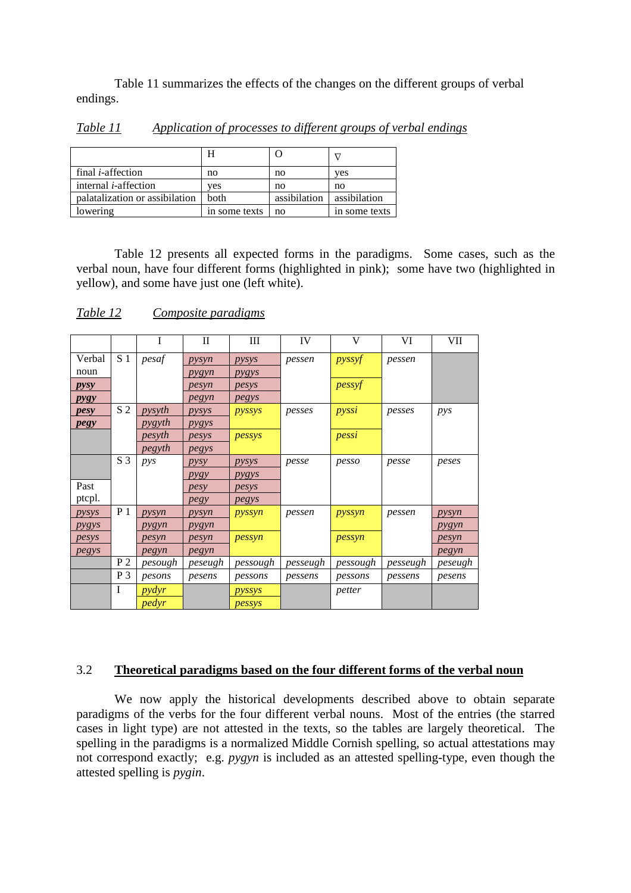Table 11 summarizes the effects of the changes on the different groups of verbal endings.

|                                | Н             |              |               |
|--------------------------------|---------------|--------------|---------------|
| final <i>i</i> -affection      | no            | no           | ves           |
| internal <i>i</i> -affection   | ves           | no           | no            |
| palatalization or assibilation | <b>both</b>   | assibilation | assibilation  |
| lowering                       | in some texts | no           | in some texts |

*Table 11 Application of processes to different groups of verbal endings* 

 Table 12 presents all expected forms in the paradigms. Some cases, such as the verbal noun, have four different forms (highlighted in pink); some have two (highlighted in yellow), and some have just one (left white).

|             |                | I            | П              | Ш        | IV       | V        | VI       | VII     |
|-------------|----------------|--------------|----------------|----------|----------|----------|----------|---------|
| Verbal      | S <sub>1</sub> | pesaf        | pysyn          | pysys    | pessen   | pyssyf   | pessen   |         |
| noun        |                |              | pygyn          | pygys    |          |          |          |         |
| pysy        |                |              | pesyn          | pesys    |          | pessyf   |          |         |
| <i>pygy</i> |                |              | pegyn          | pegys    |          |          |          |         |
| pesy        | S <sub>2</sub> | pysyth       | pysys          | pyssys   | pesses   | pyssi    | pesses   | pys     |
| pegy        |                | pygyth       | pygys          |          |          |          |          |         |
|             |                | pesyth       | pesys          | pessys   |          | pessi    |          |         |
|             |                | pegyth       | pegys          |          |          |          |          |         |
|             | S <sub>3</sub> | pys          | pysy           | pysys    | pesse    | pesso    | pesse    | peses   |
|             |                |              | $P$ <i>ygy</i> | pygys    |          |          |          |         |
| Past        |                |              | pesy           | pesys    |          |          |          |         |
| ptcpl.      |                |              | pegy           | pegys    |          |          |          |         |
| pysys       | P <sub>1</sub> | pysyn        | pysyn          | pyssyn   | pessen   | pyssyn   | pessen   | pysyn   |
| pygys       |                | pygyn        | pygyn          |          |          |          |          | pygyn   |
| pesys       |                | pesyn        | pesyn          | pessyn   |          | pessyn   |          | pesyn   |
| pegys       |                | pegyn        | pegyn          |          |          |          |          | pegyn   |
|             | P <sub>2</sub> | pesough      | peseugh        | pessough | pesseugh | pessough | pesseugh | peseugh |
|             | $P_3$          | pesons       | pesens         | pessons  | pessens  | pessons  | pessens  | pesens  |
|             | I              | <i>pydyr</i> |                | pyssys   |          | petter   |          |         |
|             |                | pedyr        |                | pessys   |          |          |          |         |

*Table 12 Composite paradigms* 

## 3.2 **Theoretical paradigms based on the four different forms of the verbal noun**

 We now apply the historical developments described above to obtain separate paradigms of the verbs for the four different verbal nouns. Most of the entries (the starred cases in light type) are not attested in the texts, so the tables are largely theoretical. The spelling in the paradigms is a normalized Middle Cornish spelling, so actual attestations may not correspond exactly; e.g. *pygyn* is included as an attested spelling-type, even though the attested spelling is *pygin*.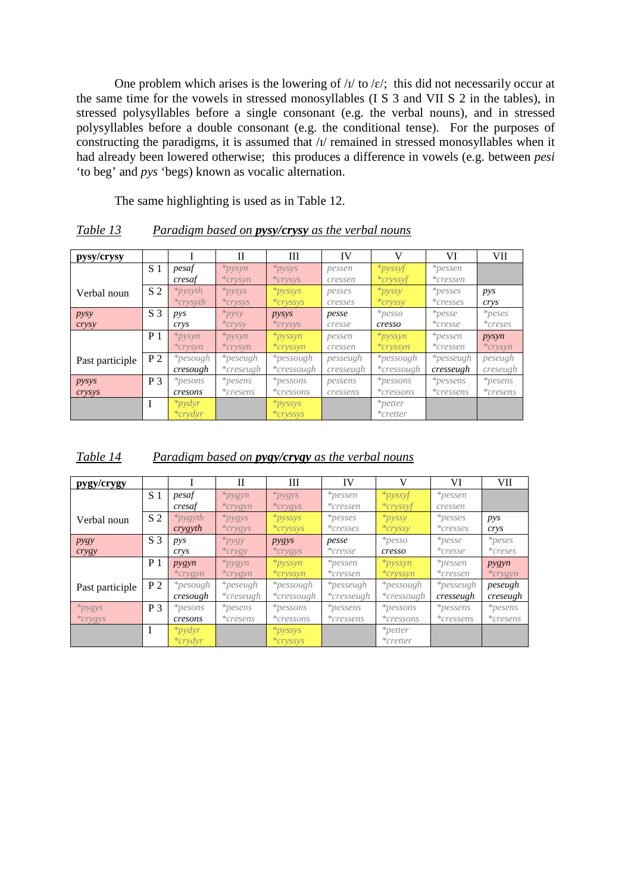One problem which arises is the lowering of  $\frac{1}{1}$  to  $\frac{1}{e}$ ; this did not necessarily occur at the same time for the vowels in stressed monosyllables (I S 3 and VII S 2 in the tables), in stressed polysyllables before a single consonant (e.g. the verbal nouns), and in stressed polysyllables before a double consonant (e.g. the conditional tense). For the purposes of constructing the paradigms, it is assumed that /ɪ/ remained in stressed monosyllables when it had already been lowered otherwise; this produces a difference in vowels (e.g. between *pesi* 'to beg' and *pys* 'begs) known as vocalic alternation.

The same highlighting is used as in Table 12.

| pysy/crysy      |                |                   | П                | Ш                | <b>IV</b> | V                 | VI                   | VII          |
|-----------------|----------------|-------------------|------------------|------------------|-----------|-------------------|----------------------|--------------|
|                 | S 1            | pesaf             | $*$ <i>pysyn</i> | $*$ <i>pysys</i> | pessen    | $*$ <i>pyssyf</i> | $*_{pessen}$         |              |
|                 |                | cresaf            | $*crysyn$        | $*crysys$        | cressen   | $*cryssyf$        | $*$ cressen          |              |
| Verbal noun     | S <sub>2</sub> | $*$ <i>pysyth</i> | $*$ <i>pysys</i> | $*pyssys$        | pesses    | $*$ <i>pyssy</i>  | $*p es se s$         | pys          |
|                 |                | $*crv$ syth       | $*crysys$        | $*crvssvs$       | cresses   | $*cryssy$         | $*cresses$           | crys         |
| pysy            | S <sub>3</sub> | pys               | $*_{pysy}$       | pysys            | pesse     | $*_{pesso}$       | $*_{\textit{pesse}}$ |              |
| crysy           |                | crys              | $*$ crysy        | $*crysys$        | cresse    | cresso            | $*crease$            | $*creses$    |
|                 | P <sub>1</sub> | $*$ <i>pysyn</i>  | $*$ <i>pysyn</i> | *pyssyn          | pessen    | $*$ <i>pyssyn</i> | $*pessen$            | pysyn        |
|                 |                | $*crysyn$         | $*crysyn$        | $*cryssyn$       | cressen   | $*cryssyn$        | $*$ cressen          | $*crysyn$    |
| Past participle | P <sub>2</sub> | $*pesough$        | $*peseugh$       | *pessough        | pesseugh  | *pessough         | *pesseugh            | peseugh      |
|                 |                | cresough          | $*c$ reseugh     | *cressough       | cresseugh | *cressough        | cresseugh            | creseugh     |
| pysys           | P <sub>3</sub> | $*pesons$         | $*_{pesens}$     | $*possons$       | pessens   | $*possons$        | *pessens             | $*_{pesens}$ |
| crysys          |                | cresons           | $*$ cresens      | $*$ cressons     | cressens  | *cressons         | *cressens            | $*$ cresens  |
|                 |                | $*$ <i>pydyr</i>  |                  | $*pyssys$        |           | $*petter$         |                      |              |
|                 |                | $*$ crydyr        |                  | $*cryssys$       |           | $*center$         |                      |              |

*Table 13 Paradigm based on pysy/crysy as the verbal nouns*

## *Table 14 Paradigm based on pygy/crygy as the verbal nouns*

| pygy/crygy       |                |                   | $\mathbf{I}$     | Ш                 | IV           | V                 | VI                   | <b>VII</b>   |
|------------------|----------------|-------------------|------------------|-------------------|--------------|-------------------|----------------------|--------------|
|                  | S 1            | pesaf             | $*$ <i>pygyn</i> | $*$ <i>pygys</i>  | $*$ pessen   | $*$ <i>pyssyf</i> | $*$ pessen           |              |
|                  |                | cresaf            | $*crygyn$        | $*crygys$         | *cressen     | $*cryssyt$        | cressen              |              |
| Verbal noun      | S <sub>2</sub> | $*$ <i>pygyth</i> | $*$ <i>pygys</i> | $*pyssys$         | $*p es ses$  | $*$ <i>pyssy</i>  | $*p es ses$          | pys          |
|                  |                | crygyth           | $*crygys$        | $*cryssys$        | $*cresses$   | $*cryssy$         | $*cresses$           | crys         |
| P <sub>ysy</sub> | S <sub>3</sub> | pys               | $*$ <i>pygy</i>  | pygys             | pesse        | $*_{pesso}$       | $*_{\textit{pesse}}$ | $*_{peses}$  |
| crygy            |                | crys              | $*$ crygy        | $*crygys$         | $*c res s$   | cresso            | $*c res s$           | $*creses$    |
|                  | P <sub>1</sub> | pygyn             | $*$ <i>pygyn</i> | $*$ <i>pyssyn</i> | $*$ pessen   | $*pyssyn$         | $*$ pessen           | pygyn        |
|                  |                | $*crygyn$         | $*crygyn$        | $*cryssyn$        | $*$ cressen  | $*cryssyn$        | *cressen             | $*crygyn$    |
| Past participle  | P <sub>2</sub> | *pesough          | *peseugh         | *pessough         | *pesseugh    | *pessough         | *pesseugh            | peseugh      |
|                  |                | cresough          | *creseugh        | *cressough        | *cresseugh   | *cressough        | cresseugh            | creseugh     |
| $*$ <i>pygys</i> | <b>P</b> 3     | $*pesons$         | $*_{pesens}$     | $*pessons$        | *pessens     | $*pessons$        | $*$ pessens          | $*_{pesens}$ |
| $*crygys$        |                | cresons           | $*$ cresens      | $*$ cressons      | $*$ cressens | $*$ cressons      | $*$ cressens         | $*$ cresens  |
|                  | T              | $*$ pydyr         |                  | $*pyssys$         |              | $*petter$         |                      |              |
|                  |                | $*$ crydyr        |                  | $*cryssys$        |              | $*creter$         |                      |              |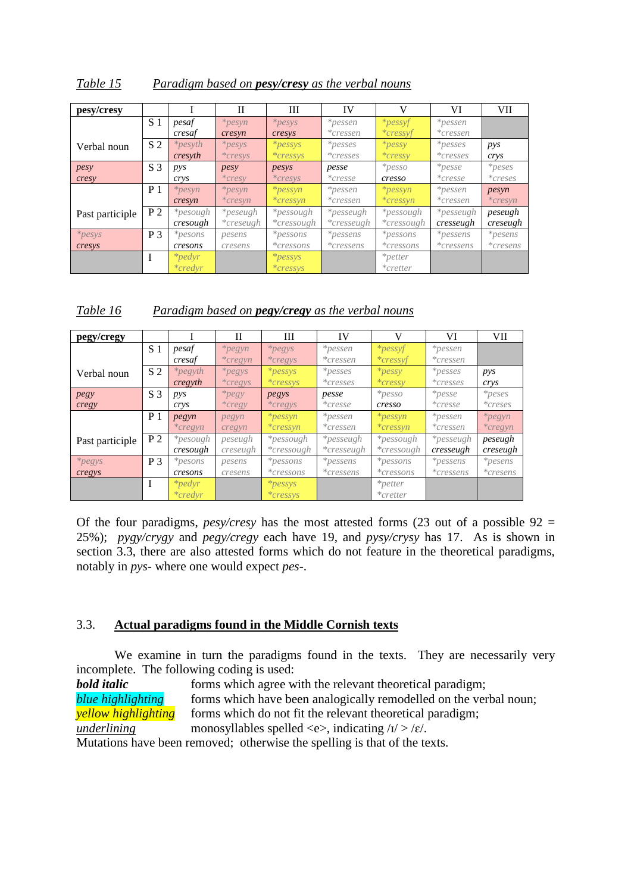| Table 15 | Paradigm based on <b>pesy/cresy</b> as the verbal nouns |  |  |  |
|----------|---------------------------------------------------------|--|--|--|
|          |                                                         |  |  |  |

| pesy/cresy      |                |                   | П          | Ш            | IV           | V                 | VI                 | <b>VII</b>  |
|-----------------|----------------|-------------------|------------|--------------|--------------|-------------------|--------------------|-------------|
|                 | S <sub>1</sub> | pesaf             | $*pesyn$   | $*p esys$    | $*pessen$    | $*$ <i>pessyf</i> | $*$ pessen         |             |
|                 |                | cresaf            | cresyn     | cresys       | $*$ cressen  | $*cressyf$        | *cressen           |             |
| Verbal noun     | S <sub>2</sub> | $*$ <i>pesyth</i> | $*p esys$  | $*pessys$    | $*p es se s$ | $*pessy$          | $*p es ses$        | pys         |
|                 |                | cresyth           | $*c *$     | $*cressys$   | $*cresses$   | $*cresS$          | $*cresses$         | crys        |
| pesy            | S <sub>3</sub> | pys               | pesy       | pesys        | pesse        | $*_{pesso}$       | $*_{\text{pesse}}$ | $*_{peses}$ |
| cresy           |                | crys              | $*cresy$   | $*c re sys$  | $*c res s$   | cresso            | $*c res s$         | $*creses$   |
|                 | P <sub>1</sub> | $*pesyn$          | $*pesyn$   | $*pessyn$    | $*pessen$    | $*pessyn$         | $*$ pessen         | pesyn       |
|                 |                | cresyn            | $*cresyn$  | $*$ cressyn  | $*$ cressen  | $*$ cressyn       | $*$ cressen        | $*$ cresyn  |
| Past participle | P <sub>2</sub> | <i>*pesough</i>   | $*peseugh$ | *pessough    | *pesseugh    | *pessough         | *pesseugh          | peseugh     |
|                 |                | cresough          | *creseugh  | *cressough   | *cresseugh   | *cressough        | cresseugh          | creseugh    |
| *pesys          | <b>P</b> 3     | $*pesons$         | pesens     | $*possons$   | $*$ pessens  | $*pessons$        | $*pessens$         | $*pesens$   |
| cresys          |                | cresons           | cresens    | $*$ cressons | $*$ cressens | $*$ cressons      | $*$ cressens       | $*$ cresens |
|                 |                | $*$ <i>pedyr</i>  |            | $*pessys$    |              | $*petter$         |                    |             |
|                 |                | $*credit$         |            | $*cressys$   |              | $*center$         |                    |             |

*Table 16 Paradigm based on pegy/cregy as the verbal nouns*

| pegy/cregy      |                |            | $\mathbf{I}$ | Ш               | IV           | V                 | VI                 | VII-        |
|-----------------|----------------|------------|--------------|-----------------|--------------|-------------------|--------------------|-------------|
|                 | S 1            | pesaf      | $*pegyn$     | $*pegys$        | $*$ pessen   | $*$ <i>pessyf</i> | $*pessen$          |             |
|                 |                | cresaf     | $*cregyn$    | $*cregys$       | $*$ cressen  | $*$ cressyf       | $*cressen$         |             |
| Verbal noun     | S <sub>2</sub> | $*pe$ gyth | $*pegys$     | $*pessys$       | $*p es ses$  | $*$ pessy         | $*p es ss es$      | pys         |
|                 |                | cregyth    | $*cregys$    | $*cressys$      | $*cresses$   | $*cresS$          | $*cresses$         | crys        |
| pegy            | S <sub>3</sub> | pys        | $*pegy$      | pegys           | pesse        | $*_{pesso}$       | $*_{\text{pesse}}$ | $*_{peses}$ |
| cregy           |                | crys       | $*cregy$     | $*cregys$       | $*c res s$   | cresso            | $*c res s$         | $*creses$   |
|                 | P <sub>1</sub> | pegyn      | pegyn        | $*pessyn$       | $*$ pessen   | $*$ <i>pessyn</i> | *pessen            | $*pegyn$    |
|                 |                | $*cregyn$  | cregyn       | $*$ cressyn     | $*$ cressen  | $*$ cressyn       | $*$ cressen        | $*cregyn$   |
| Past participle | P <sub>2</sub> | $*pesough$ | peseugh      | *pessough       | $*pesseugh$  | *pessough         | *pesseugh          | peseugh     |
|                 |                | cresough   | creseugh     | *cressough      | *cresseugh   | *cressough        | cresseugh          | creseugh    |
| $*pegys$        | P 3            | $*pesons$  | pesens       | <i>*pessons</i> | $*$ pessens  | $*possons$        | *pessens           | $*pesens$   |
| cregys          |                | cresons    | cresens      | $*$ cressons    | $*$ cressens | $*$ cressons      | $*cressens$        | $*$ cresens |
|                 |                | $*$ pedyr  |              | $*pessys$       |              | $*petter$         |                    |             |
|                 |                | $*credvr$  |              | $*cressys$      |              | $*center$         |                    |             |

Of the four paradigms, *pesy/cresy* has the most attested forms (23 out of a possible  $92 =$ 25%); *pygy/crygy* and *pegy/cregy* each have 19, and *pysy/crysy* has 17. As is shown in section 3.3, there are also attested forms which do not feature in the theoretical paradigms, notably in *pys-* where one would expect *pes-*.

## 3.3. **Actual paradigms found in the Middle Cornish texts**

We examine in turn the paradigms found in the texts. They are necessarily very incomplete. The following coding is used:

**bold italic** forms which agree with the relevant theoretical paradigm; *blue highlighting* forms which have been analogically remodelled on the verbal noun; *yellow highlighting* forms which do not fit the relevant theoretical paradigm; *underlining* monosyllables spelled  $\langle e \rangle$ , indicating  $\langle 1 \rangle > \langle e \rangle$ .

Mutations have been removed; otherwise the spelling is that of the texts.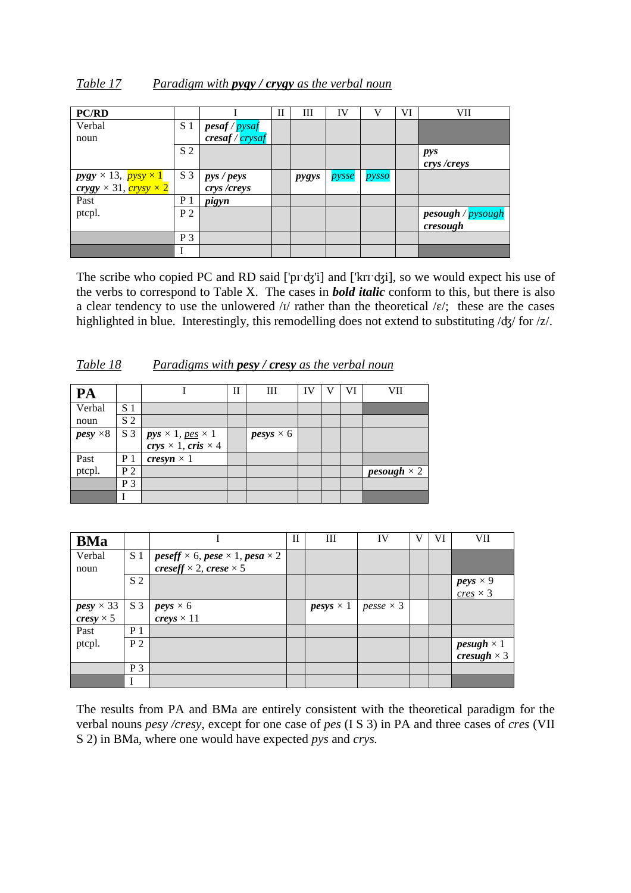| Table 17 | Paradigm with $p \gamma g \gamma$ / $c \gamma g \gamma$ as the verbal noun |  |  |
|----------|----------------------------------------------------------------------------|--|--|
|          |                                                                            |  |  |

| <b>PC/RD</b>                                                               |                |                               | Н | Ш     | IV    | V     | VI | VII                |
|----------------------------------------------------------------------------|----------------|-------------------------------|---|-------|-------|-------|----|--------------------|
| Verbal                                                                     | S <sub>1</sub> | pesaf / pysaf                 |   |       |       |       |    |                    |
| noun                                                                       |                | $\frac{c \cdot r}{c \cdot r}$ |   |       |       |       |    |                    |
|                                                                            | S <sub>2</sub> |                               |   |       |       |       |    | pys<br>crys /creys |
| $pygy \times 13$ , $pysy \times 1$<br>$crysy \times 31$ , $crysy \times 2$ | $S_3$          | pys / peys<br>crys /creys     |   | pygys | pysse | pysso |    |                    |
| Past                                                                       | P <sub>1</sub> | pigyn                         |   |       |       |       |    |                    |
| ptcpl.                                                                     | P <sub>2</sub> |                               |   |       |       |       |    | pesough / pysough  |
|                                                                            |                |                               |   |       |       |       |    | cresough           |
|                                                                            | $P_3$          |                               |   |       |       |       |    |                    |
|                                                                            |                |                               |   |       |       |       |    |                    |

The scribe who copied PC and RD said ['pɪ'dʒ'i] and ['krɪ'dʒi], so we would expect his use of the verbs to correspond to Table X. The cases in *bold italic* conform to this, but there is also a clear tendency to use the unlowered / $I$ / rather than the theoretical / $\varepsilon$ /; these are the cases highlighted in blue. Interestingly, this remodelling does not extend to substituting /ʤ/ for /z/.

| PA              |                |                                                                                                | H | Ш                | IV |  | VII                |
|-----------------|----------------|------------------------------------------------------------------------------------------------|---|------------------|----|--|--------------------|
| Verbal          | S <sub>1</sub> |                                                                                                |   |                  |    |  |                    |
| noun            | S <sub>2</sub> |                                                                                                |   |                  |    |  |                    |
| $pesy \times 8$ | S <sub>3</sub> | <i>pys</i> $\times$ 1, <u>pes</u> $\times$ 1<br><i>crys</i> $\times$ 1, <i>cris</i> $\times$ 4 |   | $pesys \times 6$ |    |  |                    |
|                 |                |                                                                                                |   |                  |    |  |                    |
| Past            | P <sub>1</sub> | cresyn $\times$ 1                                                                              |   |                  |    |  |                    |
| ptcpl.          | P <sub>2</sub> |                                                                                                |   |                  |    |  | $pesough \times 2$ |
|                 | $P_3$          |                                                                                                |   |                  |    |  |                    |
|                 |                |                                                                                                |   |                  |    |  |                    |

|  | Table 18 |  | Paradigms with <b>pesy</b> / <b>cresy</b> as the verbal noun |
|--|----------|--|--------------------------------------------------------------|
|--|----------|--|--------------------------------------------------------------|

| <b>BMa</b>       |                |                                                                            | $\mathbf{I}$ | Ш                          | IV               | V | VI | VII                      |
|------------------|----------------|----------------------------------------------------------------------------|--------------|----------------------------|------------------|---|----|--------------------------|
| Verbal           | S <sub>1</sub> | $\textit{peseff} \times 6, \textit{pese} \times 1, \textit{pesa} \times 2$ |              |                            |                  |   |    |                          |
| noun             |                | creseff $\times$ 2, crese $\times$ 5                                       |              |                            |                  |   |    |                          |
|                  | S <sub>2</sub> |                                                                            |              |                            |                  |   |    | $peys \times 9$          |
|                  |                |                                                                            |              |                            |                  |   |    | $\frac{cres}{\leq 3}$    |
| $pesy \times 33$ | S <sub>3</sub> | $peys \times 6$                                                            |              | $p \textit{esys} \times 1$ | $pesse \times 3$ |   |    |                          |
| cresy $\times$ 5 |                | creys $\times$ 11                                                          |              |                            |                  |   |    |                          |
| Past             | P <sub>1</sub> |                                                                            |              |                            |                  |   |    |                          |
| ptcpl.           | P <sub>2</sub> |                                                                            |              |                            |                  |   |    | <i>pesugh</i> $\times$ 1 |
|                  |                |                                                                            |              |                            |                  |   |    | cresugh $\times$ 3       |
|                  | P <sub>3</sub> |                                                                            |              |                            |                  |   |    |                          |
|                  |                |                                                                            |              |                            |                  |   |    |                          |

The results from PA and BMa are entirely consistent with the theoretical paradigm for the verbal nouns *pesy /cresy*, except for one case of *pes* (I S 3) in PA and three cases of *cres* (VII S 2) in BMa, where one would have expected *pys* and *crys.*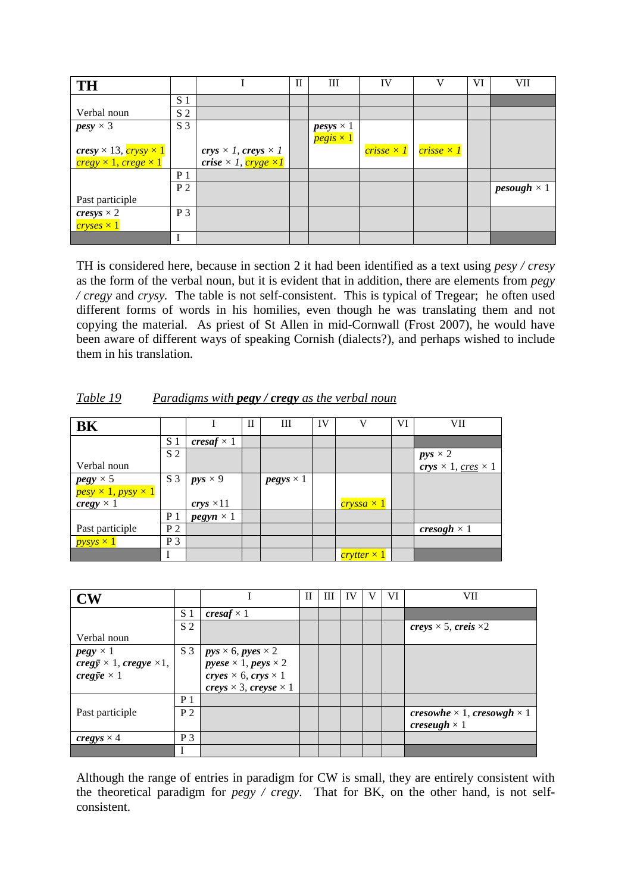| <b>TH</b>                                                |                |                                    | П | Ш                                  | IV              |                   | VI | VII                       |
|----------------------------------------------------------|----------------|------------------------------------|---|------------------------------------|-----------------|-------------------|----|---------------------------|
|                                                          | S <sub>1</sub> |                                    |   |                                    |                 |                   |    |                           |
| Verbal noun                                              | S <sub>2</sub> |                                    |   |                                    |                 |                   |    |                           |
| $pesy \times 3$                                          | S <sub>3</sub> |                                    |   | $p \text{e} s \text{y} s \times 1$ |                 |                   |    |                           |
|                                                          |                |                                    |   | $pegis \times 1$                   |                 |                   |    |                           |
| $cresy \times 13, \frac{crysy \times 1}{crysy \times 1}$ |                | crys $\times$ 1, creys $\times$ 1  |   |                                    | $crisse\times1$ | $crisse \times I$ |    |                           |
| $\c{regy} \times 1$ , $\c{rege} \times 1$                |                | crise $\times$ 1, cryge $\times$ 1 |   |                                    |                 |                   |    |                           |
|                                                          | P <sub>1</sub> |                                    |   |                                    |                 |                   |    |                           |
|                                                          | P <sub>2</sub> |                                    |   |                                    |                 |                   |    | <i>pesough</i> $\times$ 1 |
| Past participle                                          |                |                                    |   |                                    |                 |                   |    |                           |
| cresys $\times$ 2                                        | $P_3$          |                                    |   |                                    |                 |                   |    |                           |
| $cryses \times 1$                                        |                |                                    |   |                                    |                 |                   |    |                           |
|                                                          |                |                                    |   |                                    |                 |                   |    |                           |

TH is considered here, because in section 2 it had been identified as a text using *pesy / cresy* as the form of the verbal noun, but it is evident that in addition, there are elements from *pegy / cregy* and *crysy.* The table is not self-consistent. This is typical of Tregear; he often used different forms of words in his homilies, even though he was translating them and not copying the material. As priest of St Allen in mid-Cornwall (Frost 2007), he would have been aware of different ways of speaking Cornish (dialects?), and perhaps wished to include them in his translation.

| <b>BK</b>                      |                |                   | $_{\rm II}$ | Ш                | IV | V                 | VI | VІІ                                            |
|--------------------------------|----------------|-------------------|-------------|------------------|----|-------------------|----|------------------------------------------------|
|                                | S <sub>1</sub> | cresaf $\times$ 1 |             |                  |    |                   |    |                                                |
|                                | S <sub>2</sub> |                   |             |                  |    |                   |    | $pys \times 2$                                 |
| Verbal noun                    |                |                   |             |                  |    |                   |    | <i>crys</i> $\times$ 1, <u>cres</u> $\times$ 1 |
| $pegy \times 5$                | S <sub>3</sub> | $pys \times 9$    |             | $pegys \times 1$ |    |                   |    |                                                |
| $pesy \times 1, pysy \times 1$ |                |                   |             |                  |    |                   |    |                                                |
| cregy $\times$ 1               |                | crys $\times 11$  |             |                  |    | $crysa \times 1$  |    |                                                |
|                                | P <sub>1</sub> | $pegyn \times 1$  |             |                  |    |                   |    |                                                |
| Past participle                | P <sub>2</sub> |                   |             |                  |    |                   |    | $\mathit{cresogh}\times 1$                     |
| $pysys \times 1$               | $P_3$          |                   |             |                  |    |                   |    |                                                |
|                                |                |                   |             |                  |    | $crytter\times 1$ |    |                                                |

| Table 19 | Paradigms with <b>pegy</b> / <b>cregy</b> as the verbal noun |  |
|----------|--------------------------------------------------------------|--|
|          |                                                              |  |

| $\mathbf{CW}$                                          |                |                                     | П | Ш | IV | VI | VII                                      |
|--------------------------------------------------------|----------------|-------------------------------------|---|---|----|----|------------------------------------------|
|                                                        | S 1            | cresaf $\times$ 1                   |   |   |    |    |                                          |
|                                                        | S <sub>2</sub> |                                     |   |   |    |    | creys $\times$ 5, creis $\times$ 2       |
| Verbal noun                                            |                |                                     |   |   |    |    |                                          |
| $pegy \times 1$                                        | S <sub>3</sub> | $pys \times 6, pyes \times 2$       |   |   |    |    |                                          |
| $\text{creg}\bar{y} \times 1, \text{cregye} \times 1,$ |                | $pyese \times 1, peys \times 2$     |   |   |    |    |                                          |
| cregy $e \times 1$                                     |                | $crys \times 6, crys \times 1$      |   |   |    |    |                                          |
|                                                        |                | creys $\times$ 3, creyse $\times$ 1 |   |   |    |    |                                          |
|                                                        | P 1            |                                     |   |   |    |    |                                          |
| Past participle                                        | P <sub>2</sub> |                                     |   |   |    |    | cresowhe $\times$ 1, cresowgh $\times$ 1 |
|                                                        |                |                                     |   |   |    |    | creseugh $\times$ 1                      |
| cregys $\times$ 4                                      | $P_3$          |                                     |   |   |    |    |                                          |
|                                                        |                |                                     |   |   |    |    |                                          |

Although the range of entries in paradigm for CW is small, they are entirely consistent with the theoretical paradigm for *pegy / cregy*. That for BK, on the other hand, is not selfconsistent.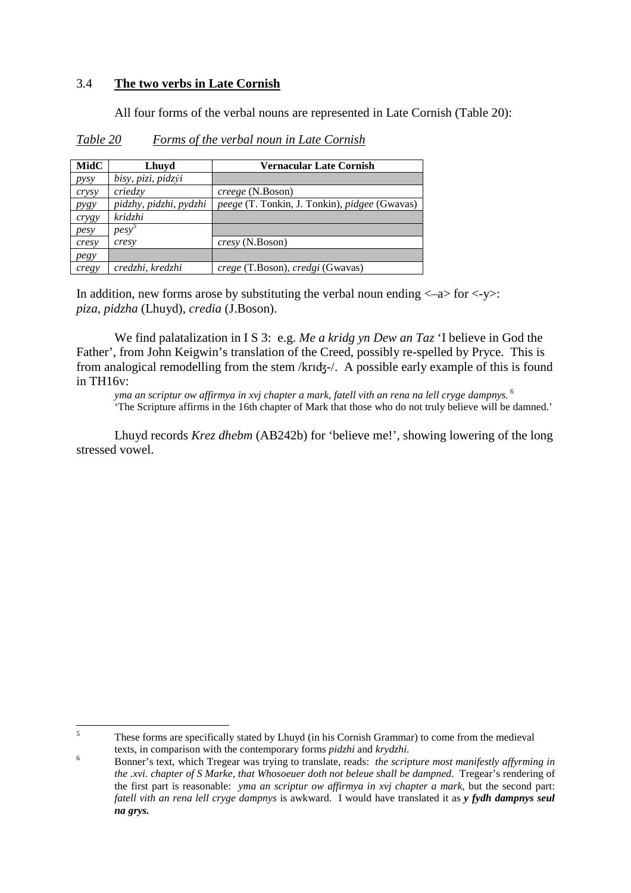## 3.4 **The two verbs in Late Cornish**

 $\overline{a}$ 

All four forms of the verbal nouns are represented in Late Cornish (Table 20):

| MidC             | Lhuyd                  | <b>Vernacular Late Cornish</b>                |
|------------------|------------------------|-----------------------------------------------|
| pysy             | bisy, pizi, pidzyi     |                                               |
| crysy            | criedzy                | <i>creege</i> (N.Boson)                       |
| P <sub>ysy</sub> | pidzhy, pidzhi, pydzhi | peege (T. Tonkin, J. Tonkin), pidgee (Gwavas) |
| crygy            | kridzhi                |                                               |
| pesy             | $pesy^3$               |                                               |
| cresy            | cresy                  | <i>cresy</i> (N.Boson)                        |
| pegy             |                        |                                               |
| cregy            | credzhi, kredzhi       | crege (T.Boson), credgi (Gwavas)              |

*Table 20 Forms of the verbal noun in Late Cornish*

In addition, new forms arose by substituting the verbal noun ending  $\langle -a \rangle$  for  $\langle -y \rangle$ : *piza, pidzha* (Lhuyd), *credia* (J.Boson).

We find palatalization in I S 3: e.g. *Me a kridg yn Dew an Taz* 'I believe in God the Father', from John Keigwin's translation of the Creed, possibly re-spelled by Pryce. This is from analogical remodelling from the stem /krɪʤ-/. A possible early example of this is found in TH16v:

*yma an scriptur ow affirmya in xvj chapter a mark, fatell vith an rena na lell cryge dampnys.*<sup>6</sup> 'The Scripture affirms in the 16th chapter of Mark that those who do not truly believe will be damned.'

 Lhuyd records *Krez dhebm* (AB242b) for 'believe me!', showing lowering of the long stressed vowel.

<sup>5</sup> These forms are specifically stated by Lhuyd (in his Cornish Grammar) to come from the medieval texts, in comparison with the contemporary forms *pidzhi* and *krydzhi*.

<sup>6</sup> Bonner's text, which Tregear was trying to translate, reads: *the scripture most manifestly affyrming in the .xvi. chapter of S Marke, that Whosoeuer doth not beleue shall be dampned.* Tregear's rendering of the first part is reasonable: *yma an scriptur ow affirmya in xvj chapter a mark,* but the second part: *fatell vith an rena lell cryge dampnys* is awkward. I would have translated it as *y fydh dampnys seul na grys.*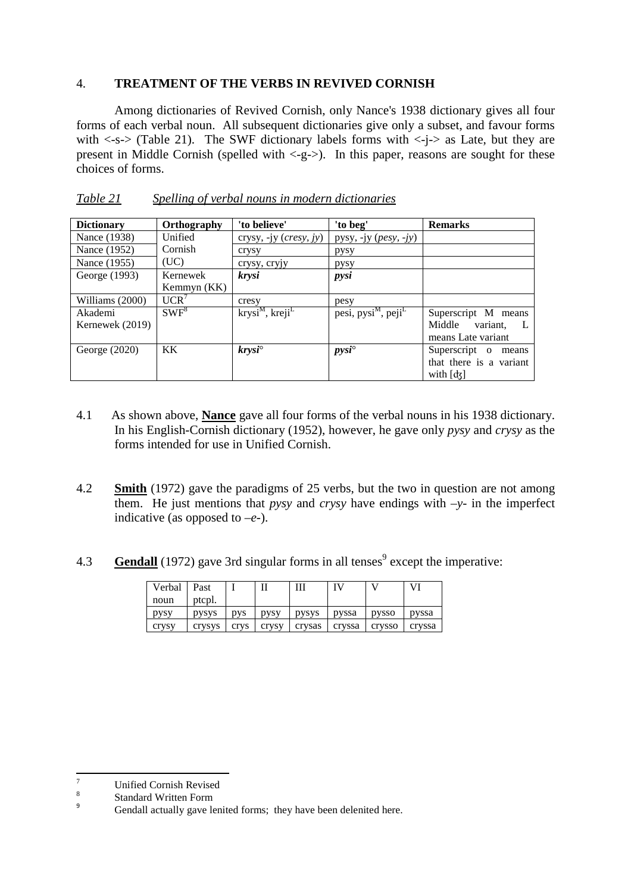## 4. **TREATMENT OF THE VERBS IN REVIVED CORNISH**

 Among dictionaries of Revived Cornish, only Nance's 1938 dictionary gives all four forms of each verbal noun. All subsequent dictionaries give only a subset, and favour forms with  $\langle -s-\rangle$  (Table 21). The SWF dictionary labels forms with  $\langle -i-\rangle$  as Late, but they are present in Middle Cornish (spelled with  $\langle -g - \rangle$ ). In this paper, reasons are sought for these choices of forms.

| <b>Dictionary</b> | Orthography | 'to believe'                               | 'to beg'                                                     | <b>Remarks</b>           |
|-------------------|-------------|--------------------------------------------|--------------------------------------------------------------|--------------------------|
| Nance (1938)      | Unified     | crysy, -jy $(cresy, jy)$                   | pysy, -jy $(\text{p} \text{e} \text{y}, -\text{j} \text{y})$ |                          |
| Nance (1952)      | Cornish     | crysy                                      | pysy                                                         |                          |
| Nance (1955)      | (UC)        | crysy, cryjy                               | pysy                                                         |                          |
| George (1993)     | Kernewek    | krysi                                      | pysi                                                         |                          |
|                   | Kemmyn (KK) |                                            |                                                              |                          |
| Williams (2000)   | UCR'        | cresy                                      | pesy                                                         |                          |
| Akademi           | $SWF^8$     | $k$ rysi <sup>M</sup> , kreji <sup>L</sup> | pesi, pysi <sup>M</sup> , peji <sup>L</sup>                  | Superscript M means      |
| Kernewek (2019)   |             |                                            |                                                              | Middle variant,          |
|                   |             |                                            |                                                              | means Late variant       |
| George $(2020)$   | KK.         | $k$ rysi $\degree$                         | $pysi^{\circ}$                                               | Superscript o<br>means   |
|                   |             |                                            |                                                              | that there is a variant  |
|                   |             |                                            |                                                              | with $\lceil d_5 \rceil$ |

*Table 21 Spelling of verbal nouns in modern dictionaries*

- 4.1 As shown above, **Nance** gave all four forms of the verbal nouns in his 1938 dictionary. In his English-Cornish dictionary (1952), however, he gave only *pysy* and *crysy* as the forms intended for use in Unified Cornish.
- 4.2 **Smith** (1972) gave the paradigms of 25 verbs, but the two in question are not among them. He just mentions that *pysy* and *crysy* have endings with  $-y$ - in the imperfect indicative (as opposed to –*e*-).
- 4.3 **Gendall** (1972) gave 3rd singular forms in all tenses<sup>9</sup> except the imperative:

| Verbal | Past   |      |             |        |        |        |        |
|--------|--------|------|-------------|--------|--------|--------|--------|
| noun   | ptcpl. |      |             |        |        |        |        |
| pysy   | pysys  | DVS  | <b>DVSV</b> | pysys  | pyssa  | pysso  | pyssa  |
| crysy  | crysys | crys | crysy       | crysas | cryssa | crysso | cryssa |

 $\overline{a}$ 

<sup>7</sup> Unified Cornish Revised

<sup>8</sup> Standard Written Form  $\alpha$ 

Gendall actually gave lenited forms; they have been delenited here.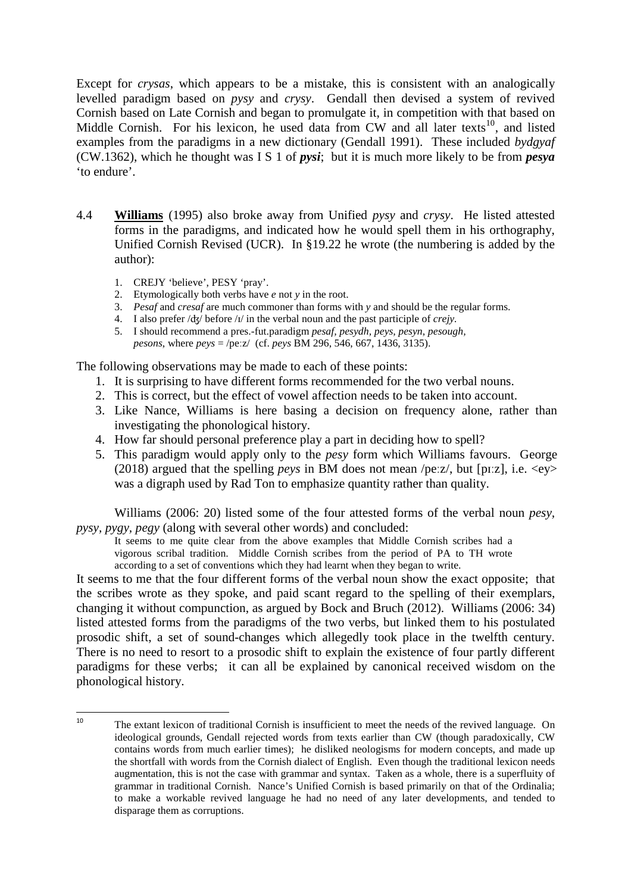Except for *crysas*, which appears to be a mistake, this is consistent with an analogically levelled paradigm based on *pysy* and *crysy*. Gendall then devised a system of revived Cornish based on Late Cornish and began to promulgate it, in competition with that based on Middle Cornish. For his lexicon, he used data from CW and all later texts<sup>10</sup>, and listed examples from the paradigms in a new dictionary (Gendall 1991). These included *bydgyaf*  (CW.1362), which he thought was I S 1 of *pysi*; but it is much more likely to be from *pesya*  'to endure'.

- 4.4 **Williams** (1995) also broke away from Unified *pysy* and *crysy*. He listed attested forms in the paradigms, and indicated how he would spell them in his orthography, Unified Cornish Revised (UCR). In §19.22 he wrote (the numbering is added by the author):
	- 1. CREJY 'believe', PESY 'pray'.

 $\overline{a}$ 

- 2. Etymologically both verbs have *e* not *y* in the root.
- 3. *Pesaf* and *cresaf* are much commoner than forms with *y* and should be the regular forms.
- 4. I also prefer /ʤ/ before /ɪ/ in the verbal noun and the past participle of *crejy.*
- 5. I should recommend a pres.-fut.paradigm *pesaf, pesydh, peys, pesyn, pesough, pesons*, where *peys* = /peːz/ (cf. *peys* BM 296, 546, 667, 1436, 3135).

The following observations may be made to each of these points:

- 1. It is surprising to have different forms recommended for the two verbal nouns.
- 2. This is correct, but the effect of vowel affection needs to be taken into account.
- 3. Like Nance, Williams is here basing a decision on frequency alone, rather than investigating the phonological history.
- 4. How far should personal preference play a part in deciding how to spell?
- 5. This paradigm would apply only to the *pesy* form which Williams favours. George (2018) argued that the spelling *peys* in BM does not mean /peːz/, but [pɪːz], i.e. <ey> was a digraph used by Rad Ton to emphasize quantity rather than quality.

Williams (2006: 20) listed some of the four attested forms of the verbal noun *pesy, pysy, pygy, pegy* (along with several other words) and concluded:

It seems to me quite clear from the above examples that Middle Cornish scribes had a vigorous scribal tradition. Middle Cornish scribes from the period of PA to TH wrote according to a set of conventions which they had learnt when they began to write.

It seems to me that the four different forms of the verbal noun show the exact opposite; that the scribes wrote as they spoke, and paid scant regard to the spelling of their exemplars, changing it without compunction, as argued by Bock and Bruch (2012). Williams (2006: 34) listed attested forms from the paradigms of the two verbs, but linked them to his postulated prosodic shift, a set of sound-changes which allegedly took place in the twelfth century. There is no need to resort to a prosodic shift to explain the existence of four partly different paradigms for these verbs; it can all be explained by canonical received wisdom on the phonological history.

<sup>10</sup> The extant lexicon of traditional Cornish is insufficient to meet the needs of the revived language. On ideological grounds, Gendall rejected words from texts earlier than CW (though paradoxically, CW contains words from much earlier times); he disliked neologisms for modern concepts, and made up the shortfall with words from the Cornish dialect of English. Even though the traditional lexicon needs augmentation, this is not the case with grammar and syntax. Taken as a whole, there is a superfluity of grammar in traditional Cornish. Nance's Unified Cornish is based primarily on that of the Ordinalia; to make a workable revived language he had no need of any later developments, and tended to disparage them as corruptions.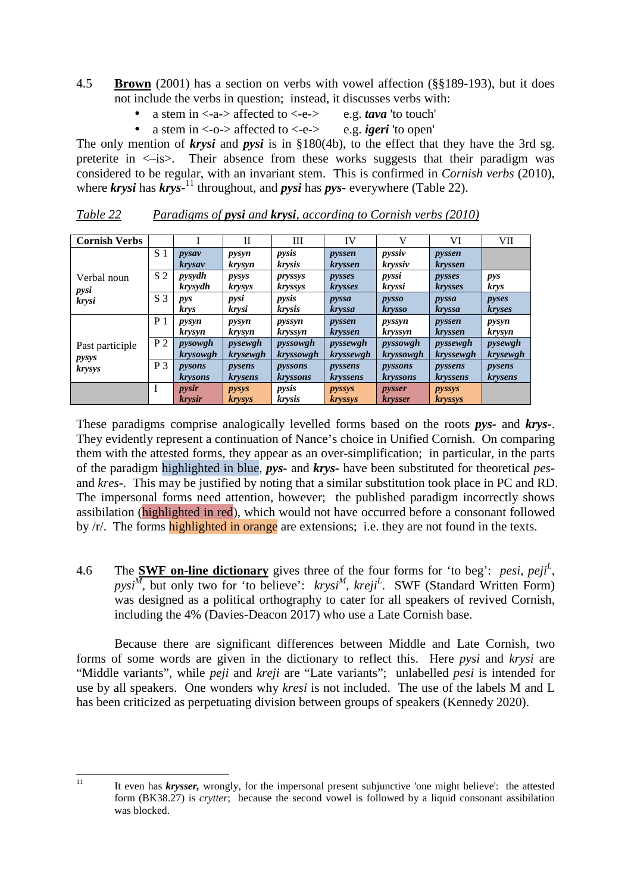- 4.5 **Brown** (2001) has a section on verbs with vowel affection (§§189-193), but it does not include the verbs in question; instead, it discusses verbs with:
	- a stem in  $\langle -a \rangle$  affected to  $\langle -e \rangle$  e.g. *tava* 'to touch'
	- a stem in  $\langle -o \rangle$  affected to  $\langle -e \rangle$  e.g. *igeri* 'to open'

The only mention of *krysi* and *pysi* is in §180(4b), to the effect that they have the 3rd sg. preterite in <–is>. Their absence from these works suggests that their paradigm was considered to be regular, with an invariant stem. This is confirmed in *Cornish verbs* (2010), where  $k$ rysi has  $k$ rys<sup>-11</sup> throughout, and *pysi* has *pys*- everywhere (Table 22).

| <b>Cornish Verbs</b>     |                |                          | $_{\rm II}$            | Ш                            | IV                         | V                               | VI                       | <b>VII</b>               |
|--------------------------|----------------|--------------------------|------------------------|------------------------------|----------------------------|---------------------------------|--------------------------|--------------------------|
|                          | S <sub>1</sub> | pysav<br>krysav          | pysyn<br>krysyn        | pysis<br><i>krysis</i>       | pyssen<br><i>kryssen</i>   | pyssiv<br><i>kryssiv</i>        | pyssen<br>kryssen        |                          |
| Verbal noun<br>pysi      | S <sub>2</sub> | pysydh<br><i>krysydh</i> | pysys<br><i>krysys</i> | pryssys<br><i>kryssys</i>    | pysses<br><i>krysses</i>   | pyssi<br><i>kryssi</i>          | pysses<br><i>krysses</i> | pys<br><i>krys</i>       |
| krysi                    | S <sub>3</sub> | pys<br>krys              | pysi<br>krysi          | pysis<br>krysis              | pyssa<br><b>kryssa</b>     | pysso<br><i>krysso</i>          | pyssa<br><b>kryssa</b>   | pyses<br><i>kryses</i>   |
|                          | P <sub>1</sub> | pysyn<br><i>krysyn</i>   | pysyn<br>krysyn        | pyssyn<br>kryssyn            | pyssen<br><i>kryssen</i>   | pyssyn<br>kryssyn               | pyssen<br><i>kryssen</i> | pysyn<br>krysyn          |
| Past participle<br>pysys | P <sub>2</sub> | pysowgh<br>krysowgh      | pysewgh<br>krysewgh    | pyssowgh<br><i>kryssowgh</i> | pyssewgh<br>kryssewgh      | pyssowgh<br>kryssowgh           | pyssewgh<br>kryssewgh    | pysewgh<br>krysewgh      |
| <b>krysys</b>            | $P_3$          | pysons<br><i>krysons</i> | pysens<br>krysens      | pyssons<br><i>kryssons</i>   | pyssens<br><i>kryssens</i> | pyssons<br><b>kryssons</b>      | pyssens<br>kryssens      | pysens<br><i>krysens</i> |
|                          |                | pysir<br><i>krysir</i>   | pysys<br><b>krysys</b> | pysis<br><i>krysis</i>       | pyssys<br><b>kryssys</b>   | <i>pysser</i><br><b>krysser</b> | pyssys<br><b>kryssys</b> |                          |

*Table 22 Paradigms of pysi and krysi, according to Cornish verbs (2010)* 

These paradigms comprise analogically levelled forms based on the roots *pys-* and *krys-*. They evidently represent a continuation of Nance's choice in Unified Cornish. On comparing them with the attested forms, they appear as an over-simplification; in particular, in the parts of the paradigm highlighted in blue, *pys-* and *krys-* have been substituted for theoretical *pes*and *kres-*. This may be justified by noting that a similar substitution took place in PC and RD. The impersonal forms need attention, however; the published paradigm incorrectly shows assibilation (highlighted in red), which would not have occurred before a consonant followed by /r/. The forms **highlighted in orange** are extensions; i.e. they are not found in the texts.

4.6 The **SWF on-line dictionary** gives three of the four forms for 'to beg': *pesi, peji<sup>L</sup>* , pysi<sup>*M*</sup>, but only two for 'to believe': *krysi<sup>M</sup>*, *kreji<sup>L</sup>*. SWF (Standard Written Form) was designed as a political orthography to cater for all speakers of revived Cornish, including the 4% (Davies-Deacon 2017) who use a Late Cornish base.

Because there are significant differences between Middle and Late Cornish, two forms of some words are given in the dictionary to reflect this. Here *pysi* and *krysi* are "Middle variants", while *peji* and *kreji* are "Late variants"; unlabelled *pesi* is intended for use by all speakers. One wonders why *kresi* is not included. The use of the labels M and L has been criticized as perpetuating division between groups of speakers (Kennedy 2020).

l

<sup>&</sup>lt;sup>11</sup> It even has *krysser*, wrongly, for the impersonal present subjunctive 'one might believe': the attested form (BK38.27) is *crytter*; because the second vowel is followed by a liquid consonant assibilation was blocked.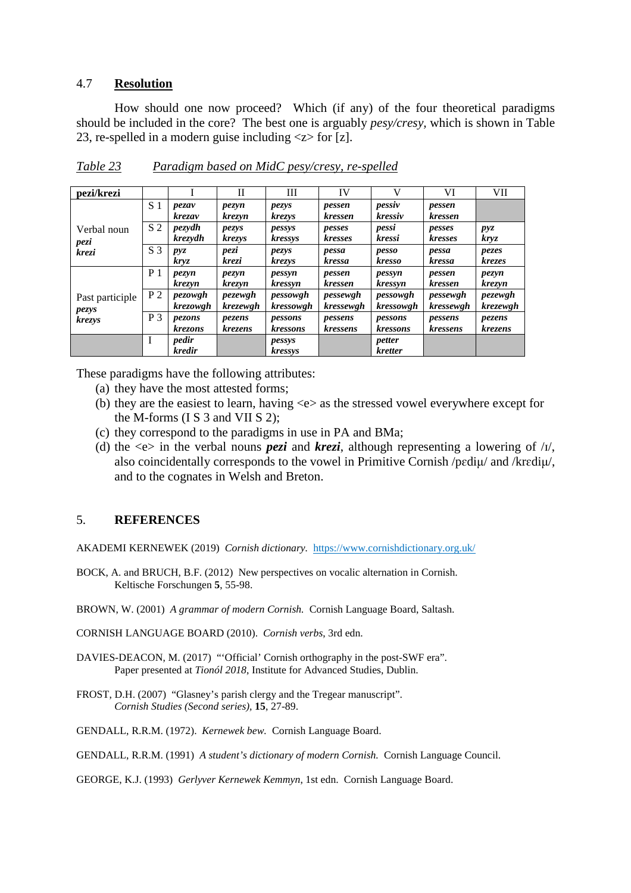#### 4.7 **Resolution**

 How should one now proceed? Which (if any) of the four theoretical paradigms should be included in the core? The best one is arguably *pesy/cresy,* which is shown in Table 23, re-spelled in a modern guise including <z> for [z].

| pezi/krezi               |                |                          | H                   | Ш                     | <b>IV</b>             |                       | VI                    | <b>VII</b>          |
|--------------------------|----------------|--------------------------|---------------------|-----------------------|-----------------------|-----------------------|-----------------------|---------------------|
|                          | S <sub>1</sub> | pezav<br>krezav          | pezyn<br>krezyn     | pezys<br>krezys       | pessen<br>kressen     | pessiv<br>kressiv     | pessen<br>kressen     |                     |
| Verbal noun<br>pezi      | S <sub>2</sub> | pezydh<br>krezydh        | pezys<br>krezys     | pessys<br>kressys     | pesses<br>kresses     | pessi<br>kressi       | pesses<br>kresses     | pyz<br>kryz         |
| krezi                    | S <sub>3</sub> | pyz<br>kryz              | pezi<br>krezi       | pezys<br>krezys       | pessa<br>kressa       | pesso<br>kresso       | pessa<br>kressa       | pezes<br>krezes     |
|                          | P <sub>1</sub> | pezyn<br>krezyn          | pezyn<br>krezyn     | pessyn<br>kressyn     | pessen<br>kressen     | pessyn<br>kressyn     | pessen<br>kressen     | pezyn<br>krezyn     |
| Past participle<br>pezys | P <sub>2</sub> | pezowgh<br>krezowgh      | pezewgh<br>krezewgh | pessowgh<br>kressowgh | pessewgh<br>kressewgh | pessowgh<br>kressowgh | pessewgh<br>kressewgh | pezewgh<br>krezewgh |
| krezys                   | P <sub>3</sub> | <i>pezons</i><br>krezons | pezens<br>krezens   | pessons<br>kressons   | pessens<br>kressens   | pessons<br>kressons   | pessens<br>kressens   | pezens<br>krezens   |
|                          | I              | pedir<br>kredir          |                     | pessys<br>kressys     |                       | petter<br>kretter     |                       |                     |

*Table 23 Paradigm based on MidC pesy/cresy, re-spelled* 

These paradigms have the following attributes:

- (a) they have the most attested forms;
- (b) they are the easiest to learn, having <e> as the stressed vowel everywhere except for the M-forms (I S 3 and VII S 2);
- (c) they correspond to the paradigms in use in PA and BMa;
- (d) the  $\ll$  in the verbal nouns *pezi* and *krezi*, although representing a lowering of / $I$ /, also coincidentally corresponds to the vowel in Primitive Cornish /pɛdiμ/ and /krɛdiμ/, and to the cognates in Welsh and Breton.

#### 5. **REFERENCES**

AKADEMI KERNEWEK (2019) *Cornish dictionary.* https://www.cornishdictionary.org.uk/

- BOCK, A. and BRUCH, B.F. (2012) New perspectives on vocalic alternation in Cornish. Keltische Forschungen **5**, 55-98.
- BROWN, W. (2001) *A grammar of modern Cornish.* Cornish Language Board, Saltash.

CORNISH LANGUAGE BOARD (2010). *Cornish verbs*, 3rd edn.

- DAVIES-DEACON, M. (2017) "'Official' Cornish orthography in the post-SWF era". Paper presented at *Tionól 2018*, Institute for Advanced Studies, Dublin.
- FROST, D.H. (2007) "Glasney's parish clergy and the Tregear manuscript". *Cornish Studies (Second series),* **15**, 27-89.

GENDALL, R.R.M. (1972). *Kernewek bew.* Cornish Language Board.

GENDALL, R.R.M. (1991) *A student's dictionary of modern Cornish.* Cornish Language Council.

GEORGE, K.J. (1993) *Gerlyver Kernewek Kemmyn*, 1st edn. Cornish Language Board.